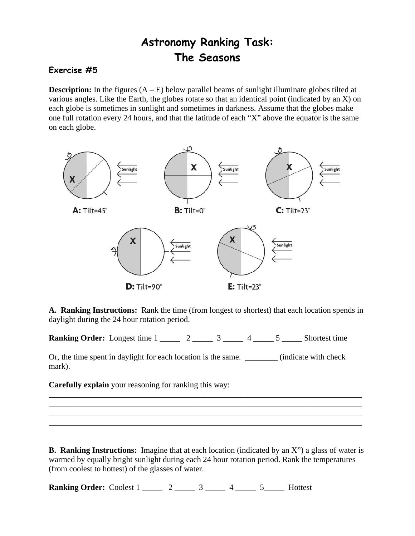## **Astronomy Ranking Task: The Seasons**

## **Exercise #5**

**Description:** In the figures  $(A - E)$  below parallel beams of sunlight illuminate globes tilted at various angles. Like the Earth, the globes rotate so that an identical point (indicated by an X) on each globe is sometimes in sunlight and sometimes in darkness. Assume that the globes make one full rotation every 24 hours, and that the latitude of each "X" above the equator is the same on each globe.



 **A. Ranking Instructions:** Rank the time (from longest to shortest) that each location spends in daylight during the 24 hour rotation period.

**Ranking Order:** Longest time  $1 \_2 \_3 \_4 \_5 \_5$  Shortest time

Or, the time spent in daylight for each location is the same. \_\_\_\_\_\_\_\_ (indicate with check mark).

**Carefully explain** your reasoning for ranking this way:

**B. Ranking Instructions:** Imagine that at each location (indicated by an X") a glass of water is warmed by equally bright sunlight during each 24 hour rotation period. Rank the temperatures (from coolest to hottest) of the glasses of water.

\_\_\_\_\_\_\_\_\_\_\_\_\_\_\_\_\_\_\_\_\_\_\_\_\_\_\_\_\_\_\_\_\_\_\_\_\_\_\_\_\_\_\_\_\_\_\_\_\_\_\_\_\_\_\_\_\_\_\_\_\_\_\_\_\_\_\_\_\_\_\_\_\_\_\_\_\_ \_\_\_\_\_\_\_\_\_\_\_\_\_\_\_\_\_\_\_\_\_\_\_\_\_\_\_\_\_\_\_\_\_\_\_\_\_\_\_\_\_\_\_\_\_\_\_\_\_\_\_\_\_\_\_\_\_\_\_\_\_\_\_\_\_\_\_\_\_\_\_\_\_\_\_\_\_ \_\_\_\_\_\_\_\_\_\_\_\_\_\_\_\_\_\_\_\_\_\_\_\_\_\_\_\_\_\_\_\_\_\_\_\_\_\_\_\_\_\_\_\_\_\_\_\_\_\_\_\_\_\_\_\_\_\_\_\_\_\_\_\_\_\_\_\_\_\_\_\_\_\_\_\_\_ \_\_\_\_\_\_\_\_\_\_\_\_\_\_\_\_\_\_\_\_\_\_\_\_\_\_\_\_\_\_\_\_\_\_\_\_\_\_\_\_\_\_\_\_\_\_\_\_\_\_\_\_\_\_\_\_\_\_\_\_\_\_\_\_\_\_\_\_\_\_\_\_\_\_\_\_\_

**Ranking Order:** Coolest 1 \_\_\_\_\_ 2 \_\_\_\_\_ 3 \_\_\_\_ 4 \_\_\_\_ 5 \_\_\_\_ Hottest